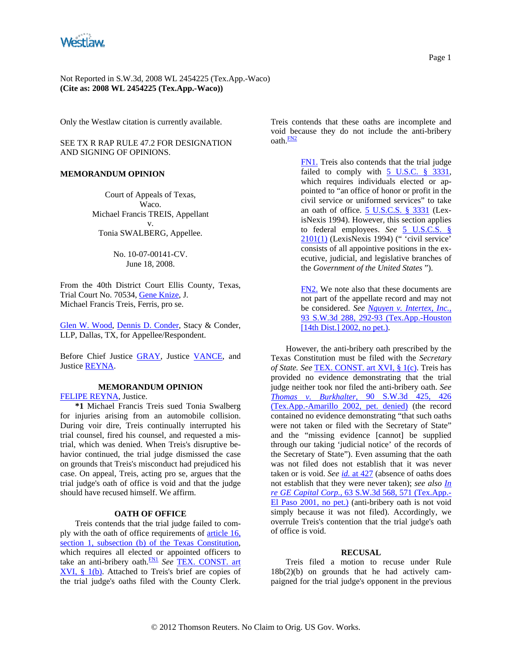<span id="page-0-0"></span>

Not Reported in S.W.3d, 2008 WL 2454225 (Tex.App.-Waco) **(Cite as: 2008 WL 2454225 (Tex.App.-Waco))**

Only the Westlaw citation is currently available.

SEE TX R RAP RULE 47.2 FOR DESIGNATION AND SIGNING OF OPINIONS.

### **MEMORANDUM OPINION**

Court of Appeals of Texas, Waco. Michael Francis TREIS, Appellant v. Tonia SWALBERG, Appellee.

> No. 10-07-00141-CV. June 18, 2008.

From the 40th District Court Ellis County, Texas, Trial Court No. 70534, [Gene Knize,](http://www.westlaw.com/Find/Default.wl?rs=dfa1.0&vr=2.0&DB=PROFILER-WLD&DocName=0354949101&FindType=h) J. Michael Francis Treis, Ferris, pro se.

[Glen W. Wood](http://www.westlaw.com/Find/Default.wl?rs=dfa1.0&vr=2.0&DB=PROFILER-WLD&DocName=0277879501&FindType=h), [Dennis D. Conder,](http://www.westlaw.com/Find/Default.wl?rs=dfa1.0&vr=2.0&DB=PROFILER-WLD&DocName=0102898101&FindType=h) Stacy & Conder, LLP, Dallas, TX, for Appellee/Respondent.

Before Chief Justice [GRAY,](http://www.westlaw.com/Find/Default.wl?rs=dfa1.0&vr=2.0&DB=PROFILER-WLD&DocName=0203456901&FindType=h) Justice [VANCE](http://www.westlaw.com/Find/Default.wl?rs=dfa1.0&vr=2.0&DB=PROFILER-WLD&DocName=0239441701&FindType=h), and Justice [REYNA](http://www.westlaw.com/Find/Default.wl?rs=dfa1.0&vr=2.0&DB=PROFILER-WLD&DocName=0206290601&FindType=h).

# **MEMORANDUM OPINION**

[FELIPE REYNA,](http://www.westlaw.com/Find/Default.wl?rs=dfa1.0&vr=2.0&DB=PROFILER-WLD&DocName=0206290601&FindType=h) Justice.

**\*1** Michael Francis Treis sued Tonia Swalberg for injuries arising from an automobile collision. During voir dire, Treis continually interrupted his trial counsel, fired his counsel, and requested a mistrial, which was denied. When Treis's disruptive behavior continued, the trial judge dismissed the case on grounds that Treis's misconduct had prejudiced his case. On appeal, Treis, acting pro se, argues that the trial judge's oath of office is void and that the judge should have recused himself. We affirm.

## **OATH OF OFFICE**

Treis contends that the trial judge failed to comply with the oath of office requirements of [article 16,](http://www.westlaw.com/Find/Default.wl?rs=dfa1.0&vr=2.0&DB=1000301&DocName=TXCNART16S1&FindType=L)  [section 1, subsection \(b\) of the Texas Constitution,](http://www.westlaw.com/Find/Default.wl?rs=dfa1.0&vr=2.0&DB=1000301&DocName=TXCNART16S1&FindType=L) which requires all elected or appointed officers to take an anti-bribery oath.<sup>[FN1](#page-0-0)</sup> See TEX. CONST. art [XVI, § 1\(b\)](http://www.westlaw.com/Find/Default.wl?rs=dfa1.0&vr=2.0&DB=1000301&DocName=TXCNART16S1&FindType=L). Attached to Treis's brief are copies of the trial judge's oaths filed with the County Clerk.

Treis contends that these oaths are incomplete and void b[ec](#page-0-0)ause they do not include the anti-bribery  $\alpha$ ath $\frac{FN2}{FN}$  $\frac{FN2}{FN}$  $\frac{FN2}{FN}$ 

> [FN1.](#page-0-0) Treis also contends that the trial judge failed to comply with  $\overline{5}$  U.S.C. § 3331, which requires individuals elected or appointed to "an office of honor or profit in the civil service or uniformed services" to take an oath of office. **5 U.S.C.S.** § 3331 (LexisNexis 1994). However, this section applies to federal employees. *See* [5 U.S.C.S. §](http://www.westlaw.com/Find/Default.wl?rs=dfa1.0&vr=2.0&DB=1000546&DocName=5USCAS2101&FindType=L&ReferencePositionType=T&ReferencePosition=SP_f1c50000821b0)  [2101\(1\)](http://www.westlaw.com/Find/Default.wl?rs=dfa1.0&vr=2.0&DB=1000546&DocName=5USCAS2101&FindType=L&ReferencePositionType=T&ReferencePosition=SP_f1c50000821b0) (LexisNexis 1994) (" 'civil service' consists of all appointive positions in the executive, judicial, and legislative branches of the *Government of the United States* ").

> [FN2.](#page-0-0) We note also that these documents are not part of the appellate record and may no[t](http://www.westlaw.com/Find/Default.wl?rs=dfa1.0&vr=2.0&DB=4644&FindType=Y&ReferencePositionType=S&SerialNum=2002501554&ReferencePosition=292)  be considered. *See [Nguyen v. Intertex, Inc.,](http://www.westlaw.com/Find/Default.wl?rs=dfa1.0&vr=2.0&DB=4644&FindType=Y&ReferencePositionType=S&SerialNum=2002501554&ReferencePosition=292)* [93 S.W.3d 288, 292-93 \(Tex.App.-Houston](http://www.westlaw.com/Find/Default.wl?rs=dfa1.0&vr=2.0&DB=4644&FindType=Y&ReferencePositionType=S&SerialNum=2002501554&ReferencePosition=292)  [\[14th Dist.\] 2002, no pet.\)](http://www.westlaw.com/Find/Default.wl?rs=dfa1.0&vr=2.0&DB=4644&FindType=Y&ReferencePositionType=S&SerialNum=2002501554&ReferencePosition=292).

However, the anti-bribery oath prescribed by the Texas Constitution must be filed with the *Secretary of State. See* [TEX. CONST. art XVI, § 1\(c\)](http://www.westlaw.com/Find/Default.wl?rs=dfa1.0&vr=2.0&DB=1000301&DocName=TXCNART16S1&FindType=L). Treis has provided no evidence demonstrating that the trial judge neither took nor filed the anti-bribery oath. *See [Thomas v. Burkhalter,](http://www.westlaw.com/Find/Default.wl?rs=dfa1.0&vr=2.0&DB=4644&FindType=Y&ReferencePositionType=S&SerialNum=2002728612&ReferencePosition=426)* [90 S.W.3d 425, 426](http://www.westlaw.com/Find/Default.wl?rs=dfa1.0&vr=2.0&DB=4644&FindType=Y&ReferencePositionType=S&SerialNum=2002728612&ReferencePosition=426)  [\(Tex.App.-Amarillo 2002, pet. denied\)](http://www.westlaw.com/Find/Default.wl?rs=dfa1.0&vr=2.0&DB=4644&FindType=Y&ReferencePositionType=S&SerialNum=2002728612&ReferencePosition=426) (the record contained no evidence demonstrating "that such oaths were not taken or filed with the Secretary of State" and the "missing evidence [cannot] be supplied through our taking 'judicial notice' of the records of the Secretary of State"). Even assuming that the oath was not filed does not establish that it was never taken or is void. *See [id.](http://www.westlaw.com/Find/Default.wl?rs=dfa1.0&vr=2.0&FindType=Y&SerialNum=2002728612)* [at 427](http://www.westlaw.com/Find/Default.wl?rs=dfa1.0&vr=2.0&FindType=Y&SerialNum=2002728612) (absence of oaths does not establish that they were never taken); *see also [In](http://www.westlaw.com/Find/Default.wl?rs=dfa1.0&vr=2.0&DB=4644&FindType=Y&ReferencePositionType=S&SerialNum=2001514978&ReferencePosition=571)  [re GE Capital Corp.,](http://www.westlaw.com/Find/Default.wl?rs=dfa1.0&vr=2.0&DB=4644&FindType=Y&ReferencePositionType=S&SerialNum=2001514978&ReferencePosition=571)* [63 S.W.3d 568, 571 \(Tex.App.-](http://www.westlaw.com/Find/Default.wl?rs=dfa1.0&vr=2.0&DB=4644&FindType=Y&ReferencePositionType=S&SerialNum=2001514978&ReferencePosition=571) [El Paso 2001, no pet.\)](http://www.westlaw.com/Find/Default.wl?rs=dfa1.0&vr=2.0&DB=4644&FindType=Y&ReferencePositionType=S&SerialNum=2001514978&ReferencePosition=571) (anti-bribery oath is not void simply because it was not filed). Accordingly, we overrule Treis's contention that the trial judge's oath of office is void.

### **RECUSAL**

Treis filed a motion to recuse under Rule  $18b(2)(b)$  on grounds that he had actively campaigned for the trial judge's opponent in the previous